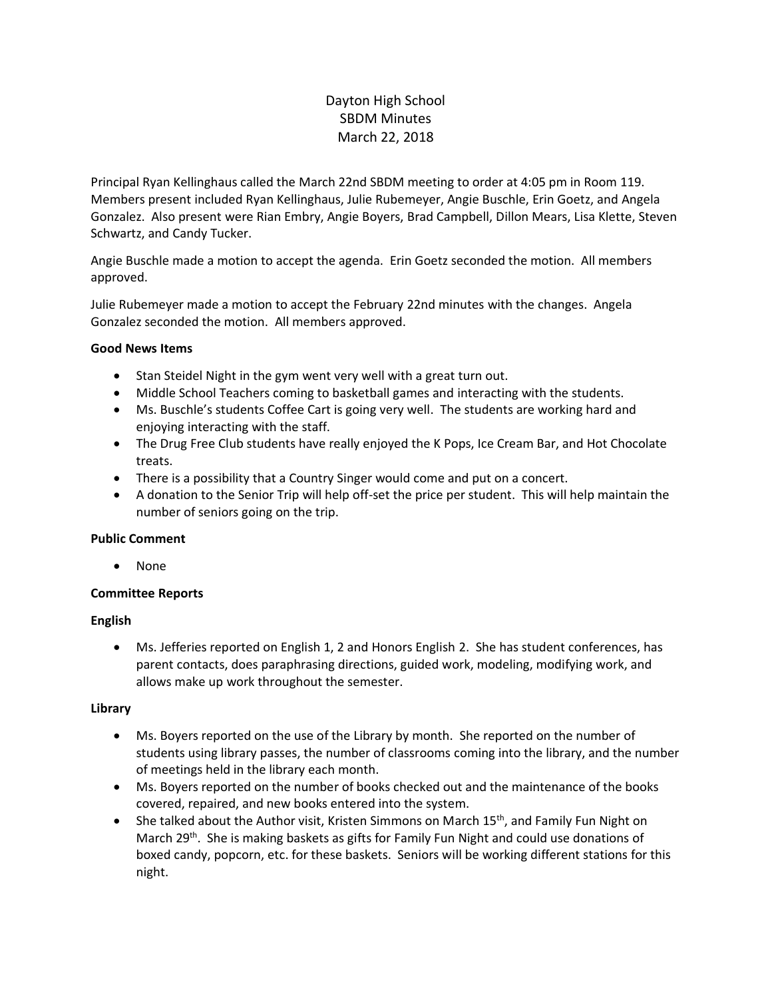# Dayton High School SBDM Minutes March 22, 2018

Principal Ryan Kellinghaus called the March 22nd SBDM meeting to order at 4:05 pm in Room 119. Members present included Ryan Kellinghaus, Julie Rubemeyer, Angie Buschle, Erin Goetz, and Angela Gonzalez. Also present were Rian Embry, Angie Boyers, Brad Campbell, Dillon Mears, Lisa Klette, Steven Schwartz, and Candy Tucker.

Angie Buschle made a motion to accept the agenda. Erin Goetz seconded the motion. All members approved.

Julie Rubemeyer made a motion to accept the February 22nd minutes with the changes. Angela Gonzalez seconded the motion. All members approved.

## **Good News Items**

- Stan Steidel Night in the gym went very well with a great turn out.
- Middle School Teachers coming to basketball games and interacting with the students.
- Ms. Buschle's students Coffee Cart is going very well. The students are working hard and enjoying interacting with the staff.
- The Drug Free Club students have really enjoyed the K Pops, Ice Cream Bar, and Hot Chocolate treats.
- There is a possibility that a Country Singer would come and put on a concert.
- A donation to the Senior Trip will help off-set the price per student. This will help maintain the number of seniors going on the trip.

## **Public Comment**

• None

## **Committee Reports**

## **English**

• Ms. Jefferies reported on English 1, 2 and Honors English 2. She has student conferences, has parent contacts, does paraphrasing directions, guided work, modeling, modifying work, and allows make up work throughout the semester.

## **Library**

- Ms. Boyers reported on the use of the Library by month. She reported on the number of students using library passes, the number of classrooms coming into the library, and the number of meetings held in the library each month.
- Ms. Boyers reported on the number of books checked out and the maintenance of the books covered, repaired, and new books entered into the system.
- She talked about the Author visit, Kristen Simmons on March 15<sup>th</sup>, and Family Fun Night on March 29<sup>th</sup>. She is making baskets as gifts for Family Fun Night and could use donations of boxed candy, popcorn, etc. for these baskets. Seniors will be working different stations for this night.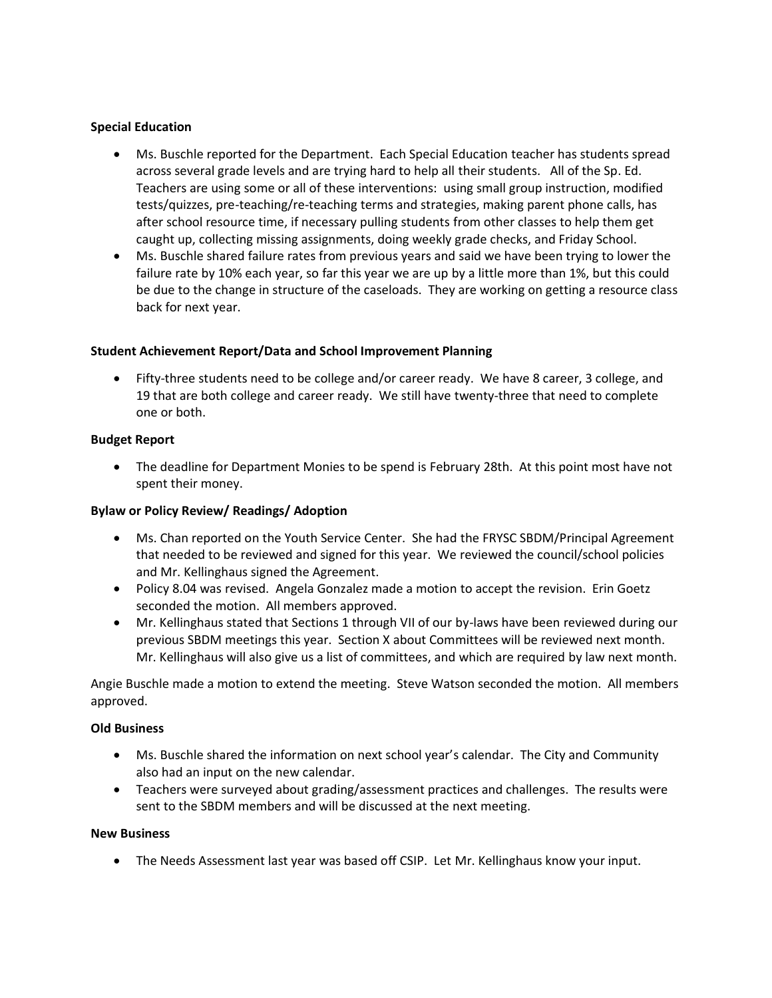## **Special Education**

- Ms. Buschle reported for the Department. Each Special Education teacher has students spread across several grade levels and are trying hard to help all their students. All of the Sp. Ed. Teachers are using some or all of these interventions: using small group instruction, modified tests/quizzes, pre-teaching/re-teaching terms and strategies, making parent phone calls, has after school resource time, if necessary pulling students from other classes to help them get caught up, collecting missing assignments, doing weekly grade checks, and Friday School.
- Ms. Buschle shared failure rates from previous years and said we have been trying to lower the failure rate by 10% each year, so far this year we are up by a little more than 1%, but this could be due to the change in structure of the caseloads. They are working on getting a resource class back for next year.

## **Student Achievement Report/Data and School Improvement Planning**

• Fifty-three students need to be college and/or career ready. We have 8 career, 3 college, and 19 that are both college and career ready. We still have twenty-three that need to complete one or both.

## **Budget Report**

• The deadline for Department Monies to be spend is February 28th. At this point most have not spent their money.

## **Bylaw or Policy Review/ Readings/ Adoption**

- Ms. Chan reported on the Youth Service Center. She had the FRYSC SBDM/Principal Agreement that needed to be reviewed and signed for this year. We reviewed the council/school policies and Mr. Kellinghaus signed the Agreement.
- Policy 8.04 was revised. Angela Gonzalez made a motion to accept the revision. Erin Goetz seconded the motion. All members approved.
- Mr. Kellinghaus stated that Sections 1 through VII of our by-laws have been reviewed during our previous SBDM meetings this year. Section X about Committees will be reviewed next month. Mr. Kellinghaus will also give us a list of committees, and which are required by law next month.

Angie Buschle made a motion to extend the meeting. Steve Watson seconded the motion. All members approved.

## **Old Business**

- Ms. Buschle shared the information on next school year's calendar. The City and Community also had an input on the new calendar.
- Teachers were surveyed about grading/assessment practices and challenges. The results were sent to the SBDM members and will be discussed at the next meeting.

## **New Business**

• The Needs Assessment last year was based off CSIP. Let Mr. Kellinghaus know your input.